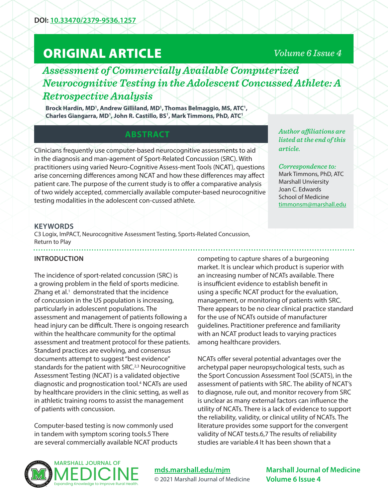# ORIGINAL ARTICLE

# *Volume 6 Issue 4*

*Assessment of Commercially Available Computerized Neurocognitive Testing in the Adolescent Concussed Athlete: A Retrospective Analysis*

Brock Hardin, MD<sup>1</sup>, Andrew Gilliland, MD<sup>1</sup>, Thomas Belmaggio, MS, ATC<sup>1</sup>, **Charles Giangarra, MD1 , John R. Castillo, BS1 , Mark Timmons, PhD, ATC1**

# **ABSTRACT**

Clinicians frequently use computer-based neurocognitive assessments to aid in the diagnosis and man-agement of Sport-Related Concussion (SRC). With practitioners using varied Neuro-Cognitive Assess-ment Tools (NCAT), questions arise concerning differences among NCAT and how these differences may affect patient care. The purpose of the current study is to offer a comparative analysis of two widely accepted, commercially available computer-based neurocognitive testing modalities in the adolescent con-cussed athlete.

*Author affiliations are listed at the end of this article.* 

#### *Correspondence to:*

Mark Timmons, PhD, ATC Marshall Unviersity Joan C. Edwards School of Medicine timmonsm@marshall.edu

### **KEYWORDS**

C3 Logix, ImPACT, Neurocognitive Assessment Testing, Sports-Related Concussion, Return to Play

# **INTRODUCTION**

The incidence of sport-related concussion (SRC) is a growing problem in the field of sports medicine. Zhang et al. $<sup>1</sup>$  demonstrated that the incidence</sup> of concussion in the US population is increasing, particularly in adolescent populations. The assessment and management of patients following a head injury can be difficult. There is ongoing research within the healthcare community for the optimal assessment and treatment protocol for these patients. Standard practices are evolving, and consensus documents attempt to suggest "best evidence" standards for the patient with SRC. $2,3$  Neurocognitive Assessment Testing (NCAT) is a validated objective diagnostic and prognostication tool.<sup>4</sup> NCATs are used by healthcare providers in the clinic setting, as well as in athletic training rooms to assist the management of patients with concussion.

Computer-based testing is now commonly used in tandem with symptom scoring tools.5 There are several commercially available NCAT products

competing to capture shares of a burgeoning market. It is unclear which product is superior with an increasing number of NCATs available. There is insufficient evidence to establish benefit in using a specific NCAT product for the evaluation, management, or monitoring of patients with SRC. There appears to be no clear clinical practice standard for the use of NCATs outside of manufacturer guidelines. Practitioner preference and familiarity with an NCAT product leads to varying practices among healthcare providers.

NCATs offer several potential advantages over the archetypal paper neuropsychological tests, such as the Sport Concussion Assessment Tool (SCAT5), in the assessment of patients with SRC. The ability of NCAT's to diagnose, rule out, and monitor recovery from SRC is unclear as many external factors can influence the utility of NCATs. There is a lack of evidence to support the reliability, validity, or clinical utility of NCATs. The literature provides some support for the convergent validity of NCAT tests.6,7 The results of reliability studies are variable.4 It has been shown that a



**mds.marshall.edu/mjm** © 2021 Marshall Journal of Medicine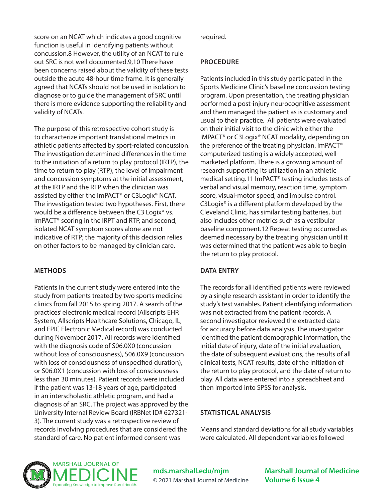score on an NCAT which indicates a good cognitive function is useful in identifying patients without concussion.8 However, the utility of an NCAT to rule out SRC is not well documented.9,10 There have been concerns raised about the validity of these tests outside the acute 48-hour time frame. It is generally agreed that NCATs should not be used in isolation to diagnose or to guide the management of SRC until there is more evidence supporting the reliability and validity of NCATs.

The purpose of this retrospective cohort study is to characterize important translational metrics in athletic patients affected by sport-related concussion. The investigation determined differences in the time to the initiation of a return to play protocol (IRTP), the time to return to play (RTP), the level of impairment and concussion symptoms at the initial assessment, at the IRTP and the RTP when the clinician was assisted by either the ImPACT® or C3Logix® NCAT. The investigation tested two hypotheses. First, there would be a difference between the C3 Logix<sup>®</sup> vs. ImPACT® scoring in the IRPT and RTP, and second, isolated NCAT symptom scores alone are not indicative of RTP; the majority of this decision relies on other factors to be managed by clinician care.

#### **METHODS**

Patients in the current study were entered into the study from patients treated by two sports medicine clinics from fall 2015 to spring 2017. A search of the practices' electronic medical record (Allscripts EHR System, Allscripts Healthcare Solutions, Chicago, IL, and EPIC Electronic Medical record) was conducted during November 2017. All records were identified with the diagnosis code of S06.0X0 (concussion without loss of consciousness), S06.0X9 (concussion with loss of consciousness of unspecified duration), or S06.0X1 (concussion with loss of consciousness less than 30 minutes). Patient records were included if the patient was 13-18 years of age, participated in an interscholastic athletic program, and had a diagnosis of an SRC. The project was approved by the University Internal Review Board (IRBNet ID# 627321- 3). The current study was a retrospective review of records involving procedures that are considered the standard of care. No patient informed consent was

required.

#### **PROCEDURE**

Patients included in this study participated in the Sports Medicine Clinic's baseline concussion testing program. Upon presentation, the treating physician performed a post-injury neurocognitive assessment and then managed the patient as is customary and usual to their practice. All patients were evaluated on their initial visit to the clinic with either the IMPACT® or C3Logix® NCAT modality, depending on the preference of the treating physician. ImPACT® computerized testing is a widely accepted, wellmarketed platform. There is a growing amount of research supporting its utilization in an athletic medical setting.11 ImPACT® testing includes tests of verbal and visual memory, reaction time, symptom score, visual-motor speed, and impulse control. C3Logix® is a different platform developed by the Cleveland Clinic, has similar testing batteries, but also includes other metrics such as a vestibular baseline component.12 Repeat testing occurred as deemed necessary by the treating physician until it was determined that the patient was able to begin the return to play protocol.

# **DATA ENTRY**

The records for all identified patients were reviewed by a single research assistant in order to identify the study's test variables. Patient identifying information was not extracted from the patient records. A second investigator reviewed the extracted data for accuracy before data analysis. The investigator identified the patient demographic information, the initial date of injury, date of the initial evaluation, the date of subsequent evaluations, the results of all clinical tests, NCAT results, date of the initiation of the return to play protocol, and the date of return to play. All data were entered into a spreadsheet and then imported into SPSS for analysis.

#### **STATISTICAL ANALYSIS**

Means and standard deviations for all study variables were calculated. All dependent variables followed



**mds.marshall.edu/mjm** © 2021 Marshall Journal of Medicine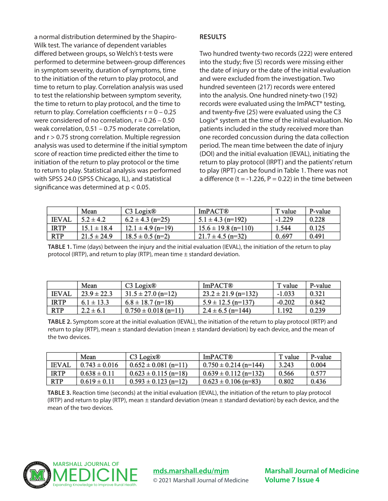a normal distribution determined by the Shapiro-Wilk test. The variance of dependent variables differed between groups, so Welch's t-tests were performed to determine between-group differences in symptom severity, duration of symptoms, time to the initiation of the return to play protocol, and time to return to play. Correlation analysis was used to test the relationship between symptom severity, the time to return to play protocol, and the time to return to play. Correlation coefficients  $r = 0 - 0.25$ were considered of no correlation,  $r = 0.26 - 0.50$ weak correlation, 0.51 – 0.75 moderate correlation, and r > 0.75 strong correlation. Multiple regression analysis was used to determine if the initial symptom score of reaction time predicted either the time to initiation of the return to play protocol or the time to return to play. Statistical analysis was performed with SPSS 24.0 (SPSS Chicago, IL), and statistical significance was determined at  $p < 0.05$ .

## **RESULTS**

Two hundred twenty-two records (222) were entered into the study; five (5) records were missing either the date of injury or the date of the initial evaluation and were excluded from the investigation. Two hundred seventeen (217) records were entered into the analysis. One hundred ninety-two (192) records were evaluated using the ImPACT® testing, and twenty-five (25) were evaluated using the C3 Logix® system at the time of the initial evaluation. No patients included in the study received more than one recorded concussion during the data collection period. The mean time between the date of injury (DOI) and the initial evaluation (IEVAL), initiating the return to play protocol (IRPT) and the patients' return to play (RPT) can be found in Table 1. There was not a difference (t = -1.226, P = 0.22) in the time between

|              | Mean            | C3 Logix <sup>®</sup> | <b>ImPACT®</b>          | T value  | P-value |
|--------------|-----------------|-----------------------|-------------------------|----------|---------|
| <b>IEVAL</b> | $5.2 \pm 4.2$   | $6.2 \pm 4.3$ (n=25)  | $5.1 \pm 4.3$ (n=192)   | $-1.229$ | 0.228   |
| <b>IRTP</b>  | $15.1 \pm 18.4$ | $12.1 \pm 4.9$ (n=19) | $15.6 \pm 19.8$ (n=110) | 1.544    | 0.125   |
| RTP          | $21.5 \pm 24.9$ | $18.5 \pm 0.5$ (n=2)  | $21.7 \pm 4.5$ (n=32)   | 0697     | 0.491   |

**TABLE 1.** Time (days) between the injury and the initial evaluation (IEVAL), the initiation of the return to play protocol (IRTP), and return to play (RTP), mean time ± standard deviation.

|              | Mean            | $C3$ Logix $\otimes$     | ImPACT®                 | T value  | P-value |
|--------------|-----------------|--------------------------|-------------------------|----------|---------|
| <b>IEVAL</b> | $23.9 \pm 22.3$ | $31.5 \pm 27.0$ (n=12)   | $23.2 \pm 21.9$ (n=132) | $-1.033$ | 0.321   |
| <b>IRTP</b>  | $6.1 \pm 13.3$  | $6.8 \pm 18.7$ (n=18)    | $5.9 \pm 12.5$ (n=137)  | $-0.202$ | 0.842   |
| <b>RTP</b>   | $2.2 \pm 6.1$   | $0.750 \pm 0.018$ (n=11) | $2.4 \pm 6.5$ (n=144)   | 1.192    | 0.239   |

**TABLE 2.** Symptom score at the initial evaluation (IEVAL), the initiation of the return to play protocol (IRTP) and return to play (RTP), mean ± standard deviation (mean ± standard deviation) by each device, and the mean of the two devices.

|              | Mean              | $C3$ Logix <sup>®</sup>  | <b>ImPACT®</b>            | T value | P-value |
|--------------|-------------------|--------------------------|---------------------------|---------|---------|
| <b>IEVAL</b> | $0.743 \pm 0.016$ | $0.652 \pm 0.081$ (n=11) | $0.750 \pm 0.214$ (n=144) | 3.243   | 0.004   |
| <b>IRTP</b>  | $0.638 \pm 0.11$  | $0.623 \pm 0.115$ (n=18) | $0.639 \pm 0.112$ (n=132) | 0.566   | 0.577   |
| RTP          | $0.619 \pm 0.11$  | $0.593 \pm 0.123$ (n=12) | $0.623 \pm 0.106$ (n=83)  | 0.802   | 0.436   |

**TABLE 3.** Reaction time (seconds) at the initial evaluation (IEVAL), the initiation of the return to play protocol (IRTP) and return to play (RTP), mean  $\pm$  standard deviation (mean  $\pm$  standard deviation) by each device, and the mean of the two devices.



**mds.marshall.edu/mjm**

© 2021 Marshall Journal of Medicine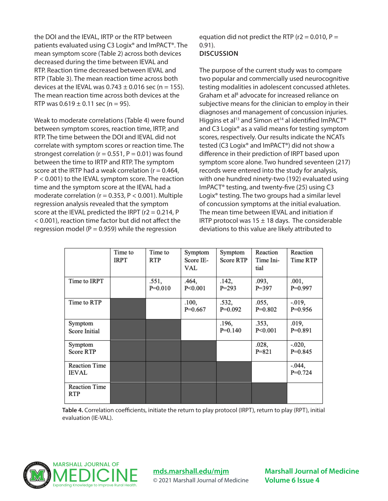the DOI and the IEVAL, IRTP or the RTP between patients evaluated using C3 Logix® and ImPACT®. The mean symptom score (Table 2) across both devices decreased during the time between IEVAL and RTP. Reaction time decreased between IEVAL and RTP (Table 3). The mean reaction time across both devices at the IEVAL was  $0.743 \pm 0.016$  sec (n = 155). The mean reaction time across both devices at the RTP was  $0.619 \pm 0.11$  sec (n = 95).

Weak to moderate correlations (Table 4) were found between symptom scores, reaction time, IRTP, and RTP. The time between the DOI and IEVAL did not correlate with symptom scores or reaction time. The strongest correlation ( $r = 0.551$ ,  $P = 0.01$ ) was found between the time to IRTP and RTP. The symptom score at the IRTP had a weak correlation ( $r = 0.464$ , P < 0.001) to the IEVAL symptom score. The reaction time and the symptom score at the IEVAL had a moderate correlation ( $r = 0.353$ ,  $P < 0.001$ ). Multiple regression analysis revealed that the symptom score at the IEVAL predicted the IRPT ( $r2 = 0.214$ , P < 0.001), reaction time factor but did not affect the regression model ( $P = 0.959$ ) while the regression

equation did not predict the RTP ( $r2 = 0.010$ ,  $P =$ 0.91). **DISCUSSION**

The purpose of the current study was to compare two popular and commercially used neurocognitive testing modalities in adolescent concussed athletes. Graham et al<sup>8</sup> advocate for increased reliance on subjective means for the clinician to employ in their diagnoses and management of concussion injuries. Higgins et al<sup>13</sup> and Simon et<sup>14</sup> al identified ImPACT<sup>®</sup> and C3 Logix® as a valid means for testing symptom scores, respectively. Our results indicate the NCATs tested (C3 Logix® and ImPACT®) did not show a difference in their prediction of IRPT based upon symptom score alone. Two hundred seventeen (217) records were entered into the study for analysis, with one hundred ninety-two (192) evaluated using ImPACT® testing, and twenty-five (25) using C3 Logix® testing. The two groups had a similar level of concussion symptoms at the initial evaluation. The mean time between IEVAL and initiation if IRTP protocol was  $15 \pm 18$  days. The considerable deviations to this value are likely attributed to

|                                      | Time to<br><b>IRPT</b> | Time to<br><b>RTP</b> | Symptom<br>Score IE-<br>VAL | Symptom<br><b>Score RTP</b> | Reaction<br>Time Ini-<br>tial | Reaction<br>Time RTP   |
|--------------------------------------|------------------------|-----------------------|-----------------------------|-----------------------------|-------------------------------|------------------------|
| Time to IRPT                         |                        | .551,<br>$P=0.010$    | .464,<br>P<0.001            | .142,<br>$P = 293$          | .093,<br>$P = 397$            | .001,<br>$P=0.997$     |
| Time to RTP                          |                        |                       | .100,<br>$P=0.667$          | .532,<br>$P=0.092$          | .055,<br>$P=0.802$            | $-0.019,$<br>$P=0.956$ |
| Symptom<br>Score Initial             |                        |                       |                             | .196,<br>$P=0.140$          | .353,<br>P<0.001              | .019,<br>$P=0.891$     |
| Symptom<br><b>Score RTP</b>          |                        |                       |                             |                             | .028,<br>$P = 821$            | $-.020,$<br>$P=0.845$  |
| <b>Reaction Time</b><br><b>IEVAL</b> |                        |                       |                             |                             |                               | $-.044,$<br>$P=0.724$  |
| <b>Reaction Time</b><br><b>RTP</b>   |                        |                       |                             |                             |                               |                        |

**Table 4.** Correlation coefficients, initiate the return to play protocol (IRPT), return to play (RPT), initial evaluation (IE-VAL).



**mds.marshall.edu/mjm**

© 2021 Marshall Journal of Medicine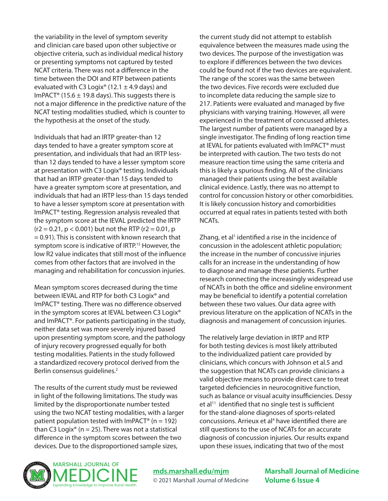the variability in the level of symptom severity and clinician care based upon other subjective or objective criteria, such as individual medical history or presenting symptoms not captured by tested NCAT criteria. There was not a difference in the time between the DOI and RTP between patients evaluated with C3 Logix<sup>®</sup> (12.1  $\pm$  4.9 days) and ImPACT<sup>®</sup> (15.6  $\pm$  19.8 days). This suggests there is not a major difference in the predictive nature of the NCAT testing modalities studied, which is counter to the hypothesis at the onset of the study.

Individuals that had an IRTP greater-than 12 days tended to have a greater symptom score at presentation, and individuals that had an IRTP lessthan 12 days tended to have a lesser symptom score at presentation with C3 Logix® testing. Individuals that had an IRTP greater-than 15 days tended to have a greater symptom score at presentation, and individuals that had an IRTP less-than 15 days tended to have a lesser symptom score at presentation with ImPACT® testing. Regression analysis revealed that the symptom score at the IEVAL predicted the IRTP  $(r2 = 0.21, p < 0.001)$  but not the RTP  $(r2 = 0.01, p$ = 0.91). This is consistent with known research that symptom score is indicative of IRTP.<sup>15</sup> However, the low R2 value indicates that still most of the influence comes from other factors that are involved in the managing and rehabilitation for concussion injuries.

Mean symptom scores decreased during the time between IEVAL and RTP for both C3 Logix® and ImPACT® testing. There was no difference observed in the symptom scores at IEVAL between C3 Logix<sup>®</sup> and ImPACT®. For patients participating in the study, neither data set was more severely injured based upon presenting symptom score, and the pathology of injury recovery progressed equally for both testing modalities. Patients in the study followed a standardized recovery protocol derived from the Berlin consensus guidelines.2

The results of the current study must be reviewed in light of the following limitations. The study was limited by the disproportionate number tested using the two NCAT testing modalities, with a larger patient population tested with ImPACT<sup>®</sup> ( $n = 192$ ) than C3 Logix<sup>®</sup> (n = 25). There was not a statistical difference in the symptom scores between the two devices. Due to the disproportioned sample sizes,

the current study did not attempt to establish equivalence between the measures made using the two devices. The purpose of the investigation was to explore if differences between the two devices could be found not if the two devices are equivalent. The range of the scores was the same between the two devices. Five records were excluded due to incomplete data reducing the sample size to 217. Patients were evaluated and managed by five physicians with varying training. However, all were experienced in the treatment of concussed athletes. The largest number of patients were managed by a single investigator. The finding of long reaction time at IEVAL for patients evaluated with ImPACT® must be interpreted with caution. The two tests do not measure reaction time using the same criteria and this is likely a spurious finding. All of the clinicians managed their patients using the best available clinical evidence. Lastly, there was no attempt to control for concussion history or other comorbidities. It is likely concussion history and comorbidities occurred at equal rates in patients tested with both NCATs.

Zhang, et al<sup>1</sup> identified a rise in the incidence of concussion in the adolescent athletic population; the increase in the number of concussive injuries calls for an increase in the understanding of how to diagnose and manage these patients. Further research connecting the increasingly widespread use of NCATs in both the office and sideline environment may be beneficial to identify a potential correlation between these two values. Our data agree with previous literature on the application of NCATs in the diagnosis and management of concussion injuries.

The relatively large deviation in IRTP and RTP for both testing devices is most likely attributed to the individualized patient care provided by clinicians, which concurs with Johnson et al.5 and the suggestion that NCATs can provide clinicians a valid objective means to provide direct care to treat targeted deficiencies in neurocognitive function, such as balance or visual acuity insufficiencies. Dessy  $et al<sup>11</sup>$  identified that no single test is sufficient for the stand-alone diagnoses of sports-related concussions. Arrieux et al<sup>4</sup> have identified there are still questions to the use of NCATs for an accurate diagnosis of concussion injuries. Our results expand upon these issues, indicating that two of the most



**mds.marshall.edu/mjm** © 2021 Marshall Journal of Medicine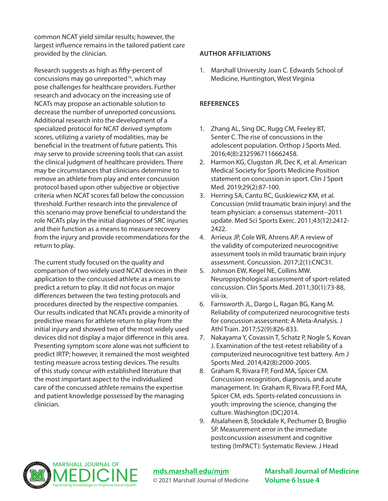common NCAT yield similar results; however, the largest influence remains in the tailored patient care provided by the clinician.

Research suggests as high as fifty-percent of concussions may go unreported<sup>16</sup>, which may pose challenges for healthcare providers. Further research and advocacy on the increasing use of NCATs may propose an actionable solution to decrease the number of unreported concussions. Additional research into the development of a specialized protocol for NCAT derived symptom scores, utilizing a variety of modalities, may be beneficial in the treatment of future patients. This may serve to provide screening tools that can assist the clinical judgment of healthcare providers. There may be circumstances that clinicians determine to remove an athlete from play and enter concussion protocol based upon other subjective or objective criteria when NCAT scores fall below the concussion threshold. Further research into the prevalence of this scenario may prove beneficial to understand the role NCATs play in the initial diagnoses of SRC injuries and their function as a means to measure recovery from the injury and provide recommendations for the return to play.

The current study focused on the quality and comparison of two widely used NCAT devices in their application to the concussed athlete as a means to predict a return to play. It did not focus on major differences between the two testing protocols and procedures directed by the respective companies. Our results indicated that NCATs provide a minority of predictive means for athlete return to play from the initial injury and showed two of the most widely used devices did not display a major difference in this area. Presenting symptom score alone was not sufficient to predict IRTP; however, it remained the most weighted testing measure across testing devices. The results of this study concur with established literature that the most important aspect to the individualized care of the concussed athlete remains the expertise and patient knowledge possessed by the managing clinician.

#### **AUTHOR AFFILIATIONS**

1. Marshall University Joan C. Edwards School of Medicine, Huntington, West Virginia

# **REFERENCES**

- 1. Zhang AL, Sing DC, Rugg CM, Feeley BT, Senter C. The rise of concussions in the adolescent population. Orthop J Sports Med. 2016;4(8):2325967116662458.
- 2. Harmon KG, Clugston JR, Dec K, et al. American Medical Society for Sports Medicine Position statement on concussion in sport. Clin J Sport Med. 2019;29(2):87-100.
- 3. Herring SA, Cantu RC, Guskiewicz KM, et al. Concussion (mild traumatic brain injury) and the team physician: a consensus statement--2011 update. Med Sci Sports Exerc. 2011;43(12):2412- 2422.
- 4. Arrieux JP, Cole WR, Ahrens AP. A review of the validity of computerized neurocognitive assessment tools in mild traumatic brain injury assessment. Concussion. 2017;2(1):CNC31.
- 5. Johnson EW, Kegel NE, Collins MW. Neuropsychological assessment of sport-related concussion. Clin Sports Med. 2011;30(1):73-88, viii-ix.
- 6. Farnsworth JL, Dargo L, Ragan BG, Kang M. Reliability of computerized neurocognitive tests for concussion assessment: A Meta-Analysis. J Athl Train. 2017;52(9):826-833.
- 7. Nakayama Y, Covassin T, Schatz P, Nogle S, Kovan J. Examination of the test-retest reliability of a computerized neurocognitive test battery. Am J Sports Med. 2014;42(8):2000-2005.
- 8. Graham R, Rivara FP, Ford MA, Spicer CM. Concussion recognition, diagnosis, and acute management. In: Graham R, Rivara FP, Ford MA, Spicer CM, eds. Sports-related concussions in youth: improving the science, changing the culture. Washington (DC)2014.
- 9. Alsalaheen B, Stockdale K, Pechumer D, Broglio SP. Measurement error in the immediate postconcussion assessment and cognitive testing (ImPACT): Systematic Review. J Head



**mds.marshall.edu/mjm** © 2021 Marshall Journal of Medicine